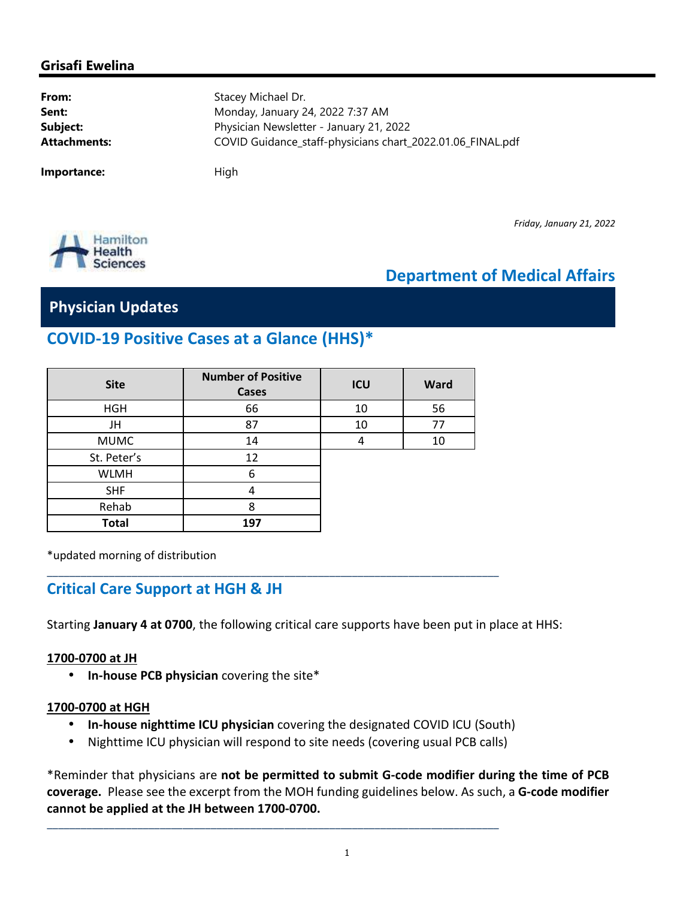#### **Grisafi Ewelina**

**From:** Stacey Michael Dr. **Sent:** Monday, January 24, 2022 7:37 AM **Subject:** Physician Newsletter - January 21, 2022 **Attachments:** COVID Guidance\_staff-physicians chart\_2022.01.06\_FINAL.pdf

**Importance:** High

*Friday, January 21, 2022*



# **Department of Medical Affairs**

### **Physician Updates**

## **COVID-19 Positive Cases at a Glance (HHS)\***

| <b>Site</b>  | <b>Number of Positive</b><br><b>Cases</b> | ICU | <b>Ward</b> |
|--------------|-------------------------------------------|-----|-------------|
| <b>HGH</b>   | 66                                        | 10  | 56          |
| JH           | 87                                        | 10  | 77          |
| <b>MUMC</b>  | 14                                        |     | 10          |
| St. Peter's  | 12                                        |     |             |
| <b>WLMH</b>  | 6                                         |     |             |
| <b>SHF</b>   | 4                                         |     |             |
| Rehab        | 8                                         |     |             |
| <b>Total</b> | 197                                       |     |             |

\_\_\_\_\_\_\_\_\_\_\_\_\_\_\_\_\_\_\_\_\_\_\_\_\_\_\_\_\_\_\_\_\_\_\_\_\_\_\_\_\_\_\_\_\_\_\_\_\_\_\_\_\_\_\_\_\_\_\_\_\_\_\_\_\_\_\_\_\_\_\_\_\_\_\_\_\_\_\_\_

\*updated morning of distribution

#### **Critical Care Support at HGH & JH**

Starting **January 4 at 0700**, the following critical care supports have been put in place at HHS:

#### **1700-0700 at JH**

• **In-house PCB physician** covering the site\*

#### **1700-0700 at HGH**

- **In-house nighttime ICU physician** covering the designated COVID ICU (South)
- Nighttime ICU physician will respond to site needs (covering usual PCB calls)

\_\_\_\_\_\_\_\_\_\_\_\_\_\_\_\_\_\_\_\_\_\_\_\_\_\_\_\_\_\_\_\_\_\_\_\_\_\_\_\_\_\_\_\_\_\_\_\_\_\_\_\_\_\_\_\_\_\_\_\_\_\_\_\_\_\_\_\_\_\_\_\_\_\_\_\_\_\_\_\_

\*Reminder that physicians are **not be permitted to submit G-code modifier during the time of PCB coverage.** Please see the excerpt from the MOH funding guidelines below. As such, a **G-code modifier cannot be applied at the JH between 1700-0700.**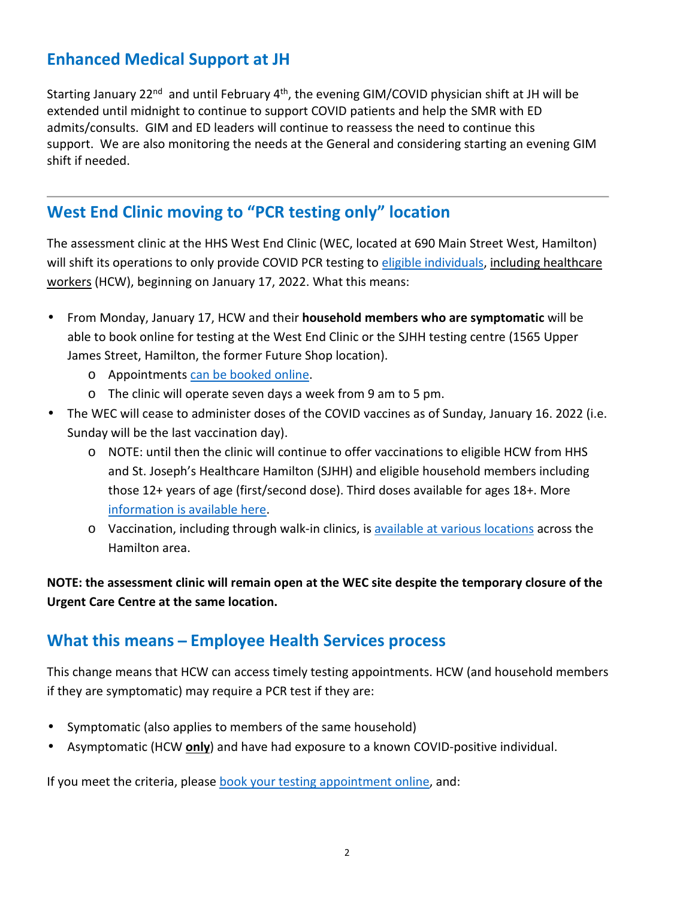## **Enhanced Medical Support at JH**

Starting January 22<sup>nd</sup> and until February 4<sup>th</sup>, the evening GIM/COVID physician shift at JH will be extended until midnight to continue to support COVID patients and help the SMR with ED admits/consults. GIM and ED leaders will continue to reassess the need to continue this support. We are also monitoring the needs at the General and considering starting an evening GIM shift if needed.

## **West End Clinic moving to "PCR testing only" location**

The assessment clinic at the HHS West End Clinic (WEC, located at 690 Main Street West, Hamilton) will shift its operations to only provide COVID PCR testing to eligible individuals, including healthcare workers (HCW), beginning on January 17, 2022. What this means:

- From Monday, January 17, HCW and their **household members who are symptomatic** will be able to book online for testing at the West End Clinic or the SJHH testing centre (1565 Upper James Street, Hamilton, the former Future Shop location).
	- o Appointments can be booked online.
	- o The clinic will operate seven days a week from 9 am to 5 pm.
- The WEC will cease to administer doses of the COVID vaccines as of Sunday, January 16. 2022 (i.e. Sunday will be the last vaccination day).
	- o NOTE: until then the clinic will continue to offer vaccinations to eligible HCW from HHS and St. Joseph's Healthcare Hamilton (SJHH) and eligible household members including those 12+ years of age (first/second dose). Third doses available for ages 18+. More information is available here.
	- o Vaccination, including through walk-in clinics, is available at various locations across the Hamilton area.

**NOTE: the assessment clinic will remain open at the WEC site despite the temporary closure of the Urgent Care Centre at the same location.** 

## **What this means ̶ Employee Health Services process**

This change means that HCW can access timely testing appointments. HCW (and household members if they are symptomatic) may require a PCR test if they are:

- Symptomatic (also applies to members of the same household)
- Asymptomatic (HCW **only**) and have had exposure to a known COVID-positive individual.

If you meet the criteria, please book your testing appointment online, and: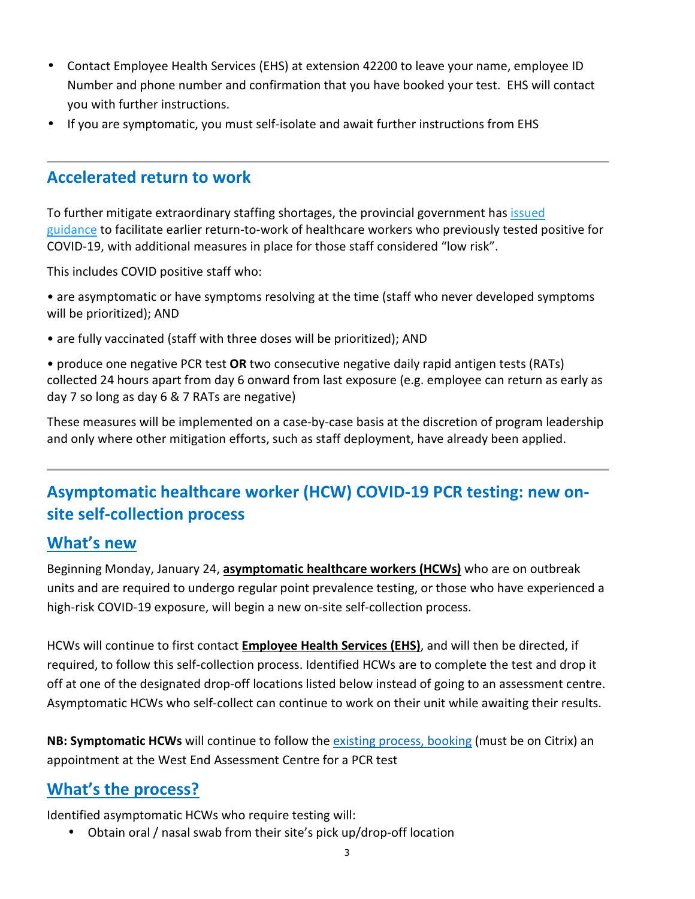- Contact Employee Health Services (EHS) at extension 42200 to leave your name, employee ID Number and phone number and confirmation that you have booked your test. EHS will contact you with further instructions.
- If you are symptomatic, you must self-isolate and await further instructions from EHS

## **Accelerated return to work**

To further mitigate extraordinary staffing shortages, the provincial government has issued guidance to facilitate earlier return-to-work of healthcare workers who previously tested positive for COVID-19, with additional measures in place for those staff considered "low risk".

This includes COVID positive staff who:

• are asymptomatic or have symptoms resolving at the time (staff who never developed symptoms will be prioritized); AND

• are fully vaccinated (staff with three doses will be prioritized); AND

• produce one negative PCR test **OR** two consecutive negative daily rapid antigen tests (RATs) collected 24 hours apart from day 6 onward from last exposure (e.g. employee can return as early as day 7 so long as day 6 & 7 RATs are negative)

These measures will be implemented on a case-by-case basis at the discretion of program leadership and only where other mitigation efforts, such as staff deployment, have already been applied.

# **Asymptomatic healthcare worker (HCW) COVID-19 PCR testing: new onsite self-collection process**

## **What's new**

Beginning Monday, January 24, **asymptomatic healthcare workers (HCWs)** who are on outbreak units and are required to undergo regular point prevalence testing, or those who have experienced a high-risk COVID-19 exposure, will begin a new on-site self-collection process.

HCWs will continue to first contact **Employee Health Services (EHS)**, and will then be directed, if required, to follow this self-collection process. Identified HCWs are to complete the test and drop it off at one of the designated drop-off locations listed below instead of going to an assessment centre. Asymptomatic HCWs who self-collect can continue to work on their unit while awaiting their results.

**NB: Symptomatic HCWs** will continue to follow the existing process, booking (must be on Citrix) an appointment at the West End Assessment Centre for a PCR test

# **What's the process?**

Identified asymptomatic HCWs who require testing will:

• Obtain oral / nasal swab from their site's pick up/drop-off location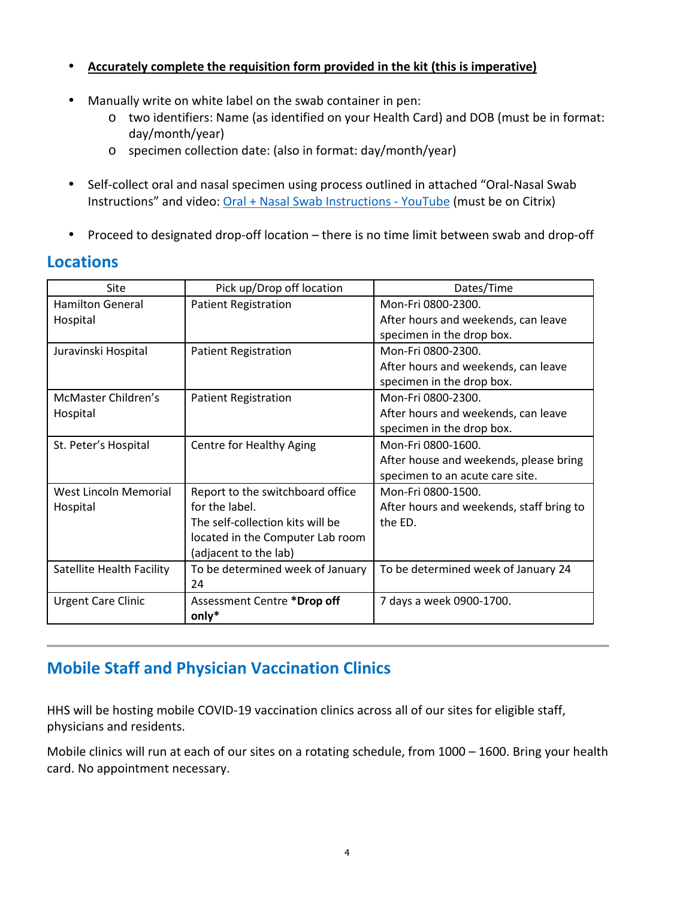#### • **Accurately complete the requisition form provided in the kit (this is imperative)**

- Manually write on white label on the swab container in pen:
	- o two identifiers: Name (as identified on your Health Card) and DOB (must be in format: day/month/year)
	- o specimen collection date: (also in format: day/month/year)
- Self-collect oral and nasal specimen using process outlined in attached "Oral-Nasal Swab Instructions" and video: Oral + Nasal Swab Instructions - YouTube (must be on Citrix)
- Proceed to designated drop-off location there is no time limit between swab and drop-off

### **Locations**

| Site                      | Pick up/Drop off location        | Dates/Time                               |
|---------------------------|----------------------------------|------------------------------------------|
| <b>Hamilton General</b>   | <b>Patient Registration</b>      | Mon-Fri 0800-2300.                       |
| Hospital                  |                                  | After hours and weekends, can leave      |
|                           |                                  | specimen in the drop box.                |
| Juravinski Hospital       | <b>Patient Registration</b>      | Mon-Fri 0800-2300.                       |
|                           |                                  | After hours and weekends, can leave      |
|                           |                                  | specimen in the drop box.                |
| McMaster Children's       | <b>Patient Registration</b>      | Mon-Fri 0800-2300.                       |
| Hospital                  |                                  | After hours and weekends, can leave      |
|                           |                                  | specimen in the drop box.                |
| St. Peter's Hospital      | Centre for Healthy Aging         | Mon-Fri 0800-1600.                       |
|                           |                                  | After house and weekends, please bring   |
|                           |                                  | specimen to an acute care site.          |
| West Lincoln Memorial     | Report to the switchboard office | Mon-Fri 0800-1500.                       |
| Hospital                  | for the label.                   | After hours and weekends, staff bring to |
|                           | The self-collection kits will be | the ED.                                  |
|                           | located in the Computer Lab room |                                          |
|                           | (adjacent to the lab)            |                                          |
| Satellite Health Facility | To be determined week of January | To be determined week of January 24      |
|                           | 24                               |                                          |
| <b>Urgent Care Clinic</b> | Assessment Centre *Drop off      | 7 days a week 0900-1700.                 |
|                           | $only*$                          |                                          |

# **Mobile Staff and Physician Vaccination Clinics**

HHS will be hosting mobile COVID-19 vaccination clinics across all of our sites for eligible staff, physicians and residents.

Mobile clinics will run at each of our sites on a rotating schedule, from 1000 – 1600. Bring your health card. No appointment necessary.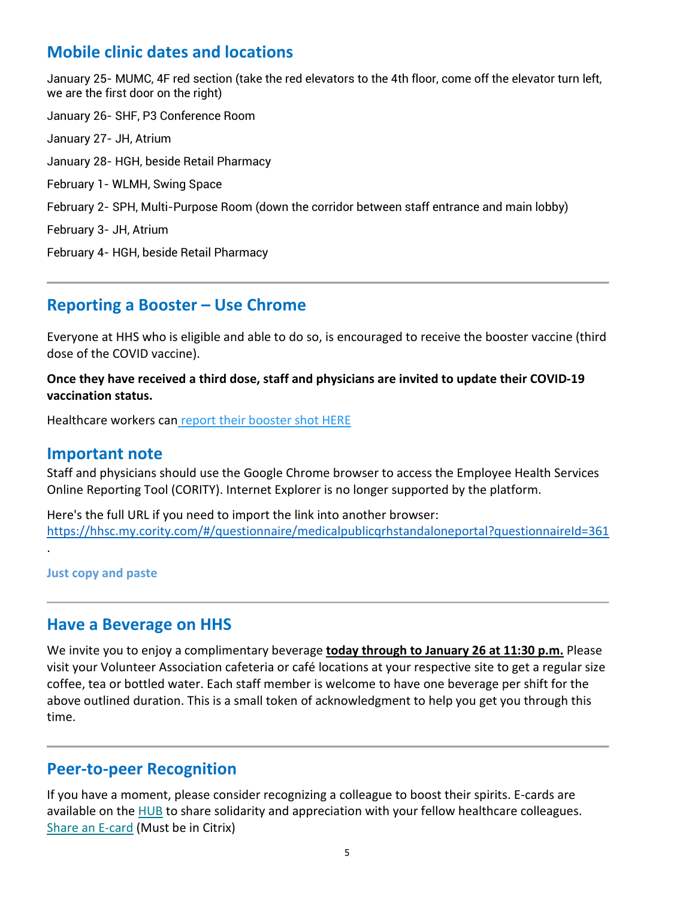# **Mobile clinic dates and locations**

January 25- MUMC, 4F red section (take the red elevators to the 4th floor, come off the elevator turn left, we are the first door on the right)

January 26- SHF, P3 Conference Room January 27- JH, Atrium January 28- HGH, beside Retail Pharmacy February 1- WLMH, Swing Space February 2- SPH, Multi-Purpose Room (down the corridor between staff entrance and main lobby) February 3- JH, Atrium February 4- HGH, beside Retail Pharmacy

## **Reporting a Booster – Use Chrome**

Everyone at HHS who is eligible and able to do so, is encouraged to receive the booster vaccine (third dose of the COVID vaccine).

**Once they have received a third dose, staff and physicians are invited to update their COVID-19 vaccination status.**

Healthcare workers can report their booster shot HERE

#### **Important note**

Staff and physicians should use the Google Chrome browser to access the Employee Health Services Online Reporting Tool (CORITY). Internet Explorer is no longer supported by the platform.

Here's the full URL if you need to import the link into another browser: https://hhsc.my.cority.com/#/questionnaire/medicalpublicqrhstandaloneportal?questionnaireId=361

**Just copy and paste**

.

#### **Have a Beverage on HHS**

We invite you to enjoy a complimentary beverage **today through to January 26 at 11:30 p.m.** Please visit your Volunteer Association cafeteria or café locations at your respective site to get a regular size coffee, tea or bottled water. Each staff member is welcome to have one beverage per shift for the above outlined duration. This is a small token of acknowledgment to help you get you through this time.

## **Peer-to-peer Recognition**

If you have a moment, please consider recognizing a colleague to boost their spirits. E-cards are available on the HUB to share solidarity and appreciation with your fellow healthcare colleagues. Share an E-card (Must be in Citrix)